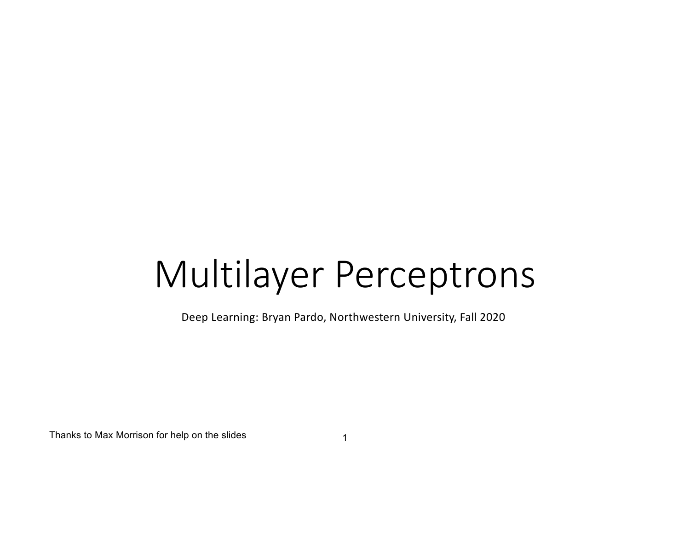# Multilayer Perceptrons

Deep Learning: Bryan Pardo, Northwestern University, Fall 2020

Thanks to Max Morrison for help on the slides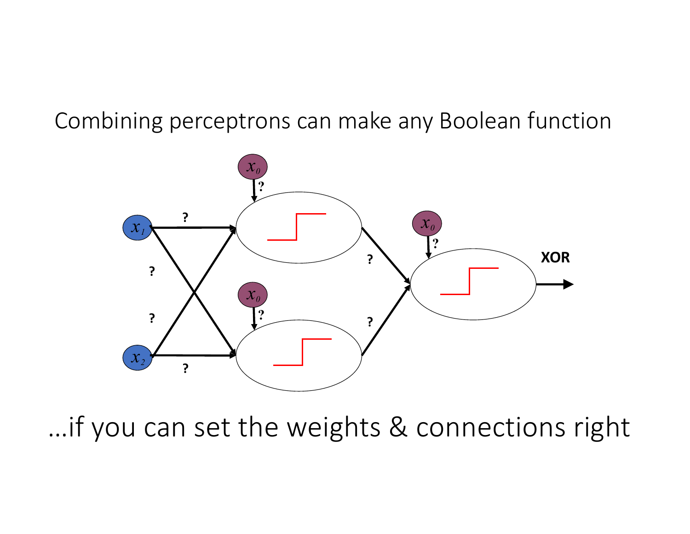#### Combining perceptrons can make any Boolean function



…if you can set the weights & connections right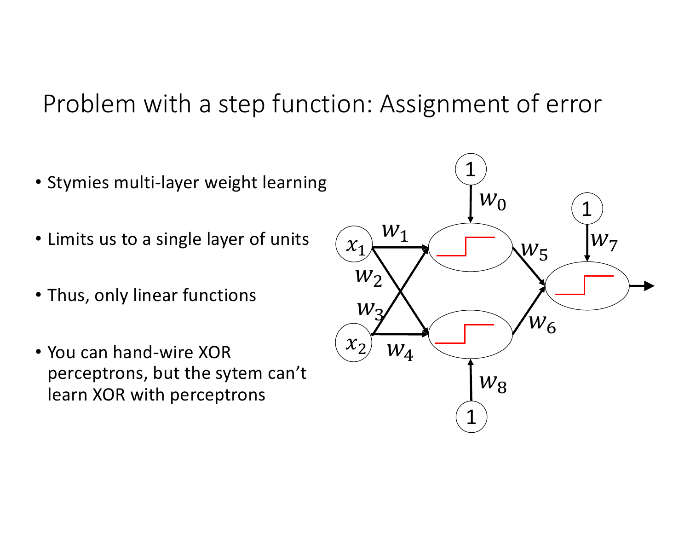Problem with a step function: Assignment of error

- Stymies multi-layer weight learning
- Limits us to a single layer of units
- Thus, only linear functions
- You can hand-wire XOR perceptrons, but the sytem can't learn XOR with perceptrons

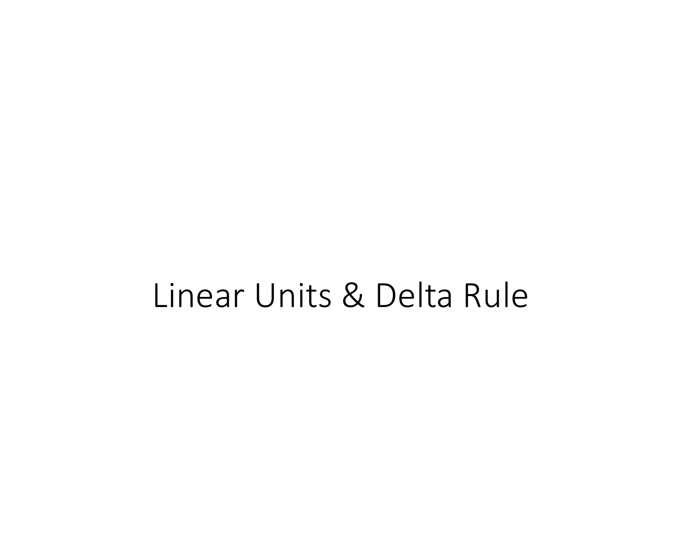# Linear Units & Delta Rule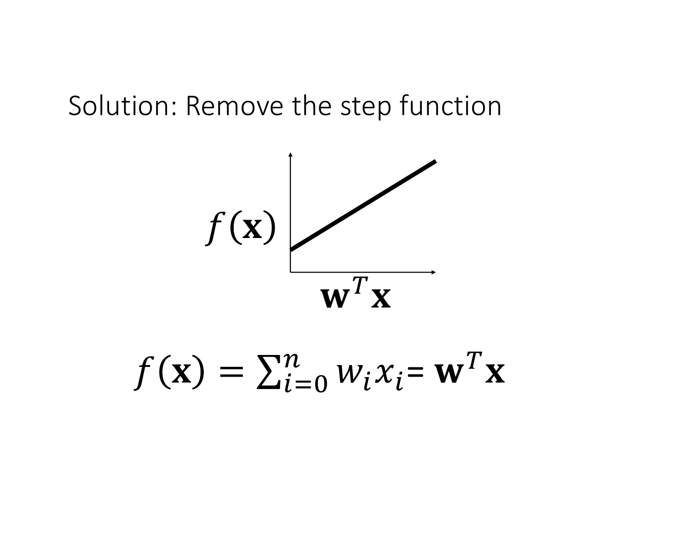## Solution: Remove the step function



$$
f(\mathbf{x}) = \sum_{i=0}^{n} w_i x_i = \mathbf{w}^T \mathbf{x}
$$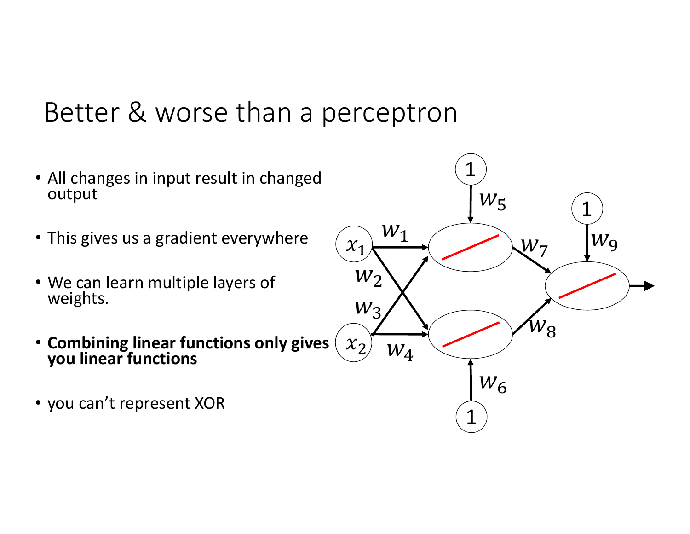# Better & worse than a perceptron

- All changes in input result in changed output
- This gives us a gradient everywhere
- We can learn multiple layers of weights.
- **Combining linear functions only gives you linear functions**
- you can't represent XOR

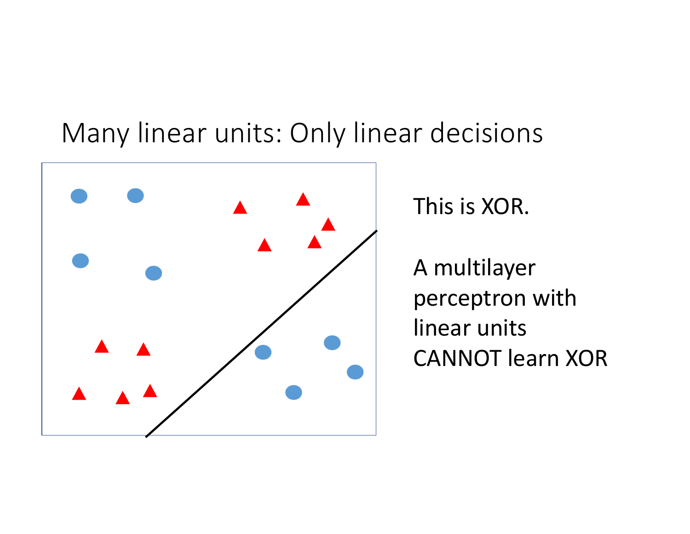## Many linear units: Only linear decisions



This is XOR.

A multilayer perceptron with linear units CANNOT learn XOR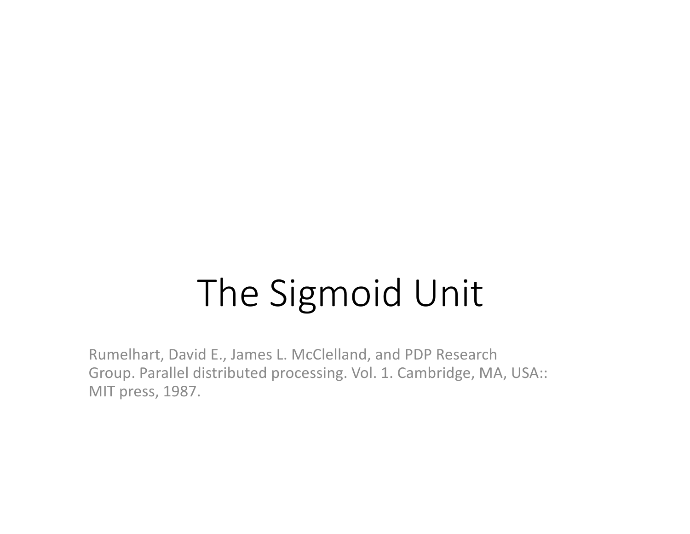# The Sigmoid Unit

Rumelhart, David E., James L. McClelland, and PDP Research Group. Parallel distributed processing. Vol. 1. Cambridge, MA, USA:: MIT press, 1987.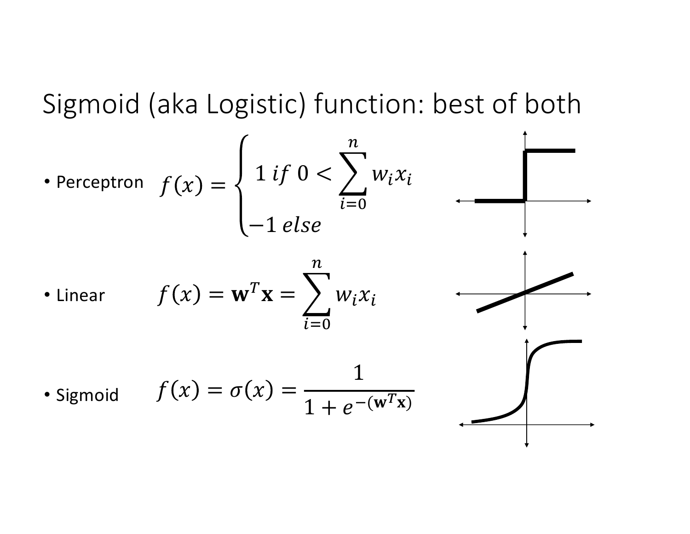Sigmoid (aka Logistic) function: best of both

Therefore

\n
$$
f(x) = \begin{cases} 1 & \text{if } 0 < \sum_{i=0}^{n} w_i x_i \\ -1 & \text{else} \end{cases}
$$
\nLinear

\n
$$
f(x) = \mathbf{w}^T \mathbf{x} = \sum_{i=0}^{n} w_i x_i
$$
\nUsing  $f(x) = \sigma(x) = \frac{1}{1 + e^{-(w^T x)}}$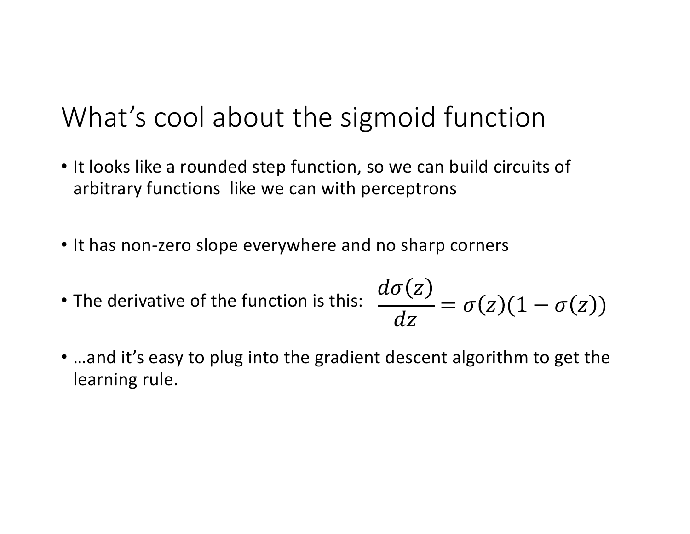# What's cool about the sigmoid function

- It looks like a rounded step function, so we can build circuits of arbitrary functions like we can with perceptrons
- It has non-zero slope everywhere and no sharp corners
- The derivative of the function is this:  $d\sigma(z)$  $\overline{dz}$  $= \sigma(z) (1 - \sigma(z))$
- …and it's easy to plug into the gradient descent algorithm to get the learning rule.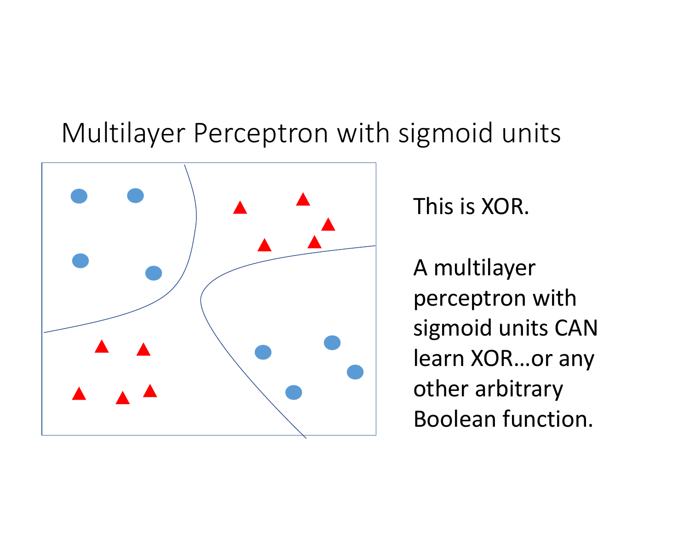# Multilayer Perceptron with sigmoid units



This is XOR.

A multilayer perceptron with sigmoid units CAN learn XOR…or any other arbitrary Boolean function.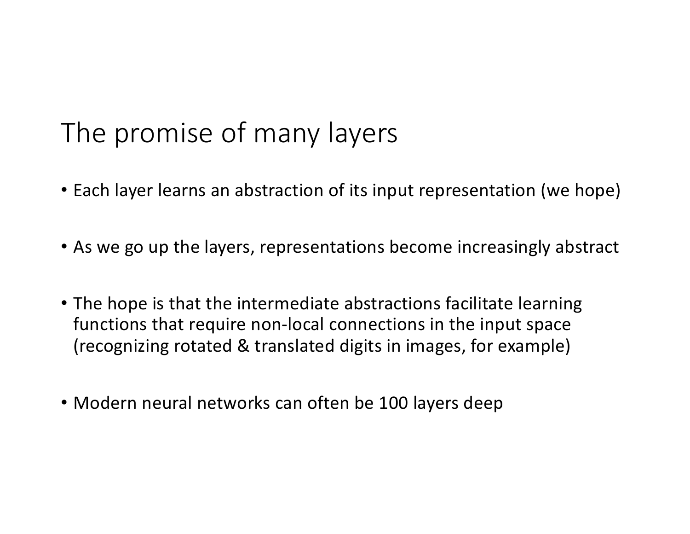# The promise of many layers

- Each layer learns an abstraction of its input representation (we hope)
- As we go up the layers, representations become increasingly abstract
- The hope is that the intermediate abstractions facilitate learning functions that require non-local connections in the input space (recognizing rotated & translated digits in images, for example)
- Modern neural networks can often be 100 layers deep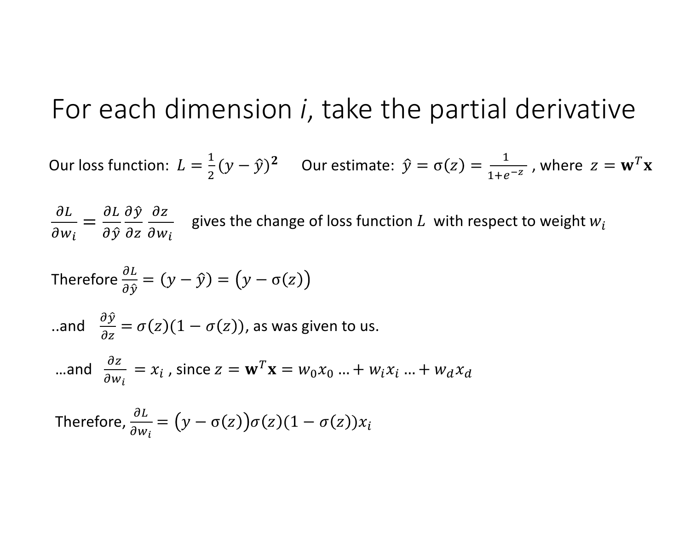#### For each dimension *i*, take the partial derivative

Our loss function:  $L = \frac{1}{2}(y - \hat{y})^2$  Our estimate:  $\hat{y} = \sigma(z) = \frac{1}{1 + e^{-z}}$ , where  $z = \mathbf{w}^T \mathbf{x}$ 

 $\partial L$  $\partial w_i$ =  $\partial L$  $\partial \hat{y}$  $\partial \hat{y}$  $\partial z$  $\partial z$  $\partial w_i$ gives the change of loss function  $L$  with respect to weight  $w_i$ 

Therefore 
$$
\frac{\partial L}{\partial \hat{y}} = (y - \hat{y}) = (y - \sigma(z))
$$

$$
\text{.} \text{and} \quad \frac{\partial \hat{y}}{\partial z} = \sigma(z)(1 - \sigma(z)), \text{ as was given to us.}
$$

$$
\text{...and} \quad \frac{\partial z}{\partial w_i} = x_i \text{ , since } z = \mathbf{w}^T \mathbf{x} = w_0 x_0 \text{ ... } + w_i x_i \text{ ... } + w_d x_d
$$

Therefore, 
$$
\frac{\partial L}{\partial w_i} = (y - \sigma(z))\sigma(z)(1 - \sigma(z))x_i
$$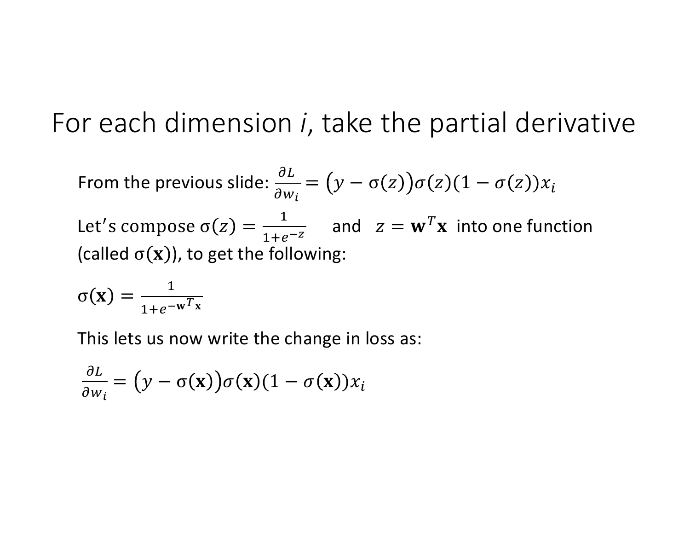## For each dimension *i*, take the partial derivative

From the previous slide: 
$$
\frac{\partial L}{\partial w_i} = (y - \sigma(z))\sigma(z)(1 - \sigma(z))x_i
$$
  
Let's compose  $\sigma(z) = \frac{1}{1 + e^{-z}}$  and  $z = \mathbf{w}^T \mathbf{x}$  into one function  
(called  $\sigma(\mathbf{x})$ ), to get the following:

$$
\sigma(\mathbf{x}) = \frac{1}{1 + e^{-\mathbf{w}^T \mathbf{x}}}
$$

This lets us now write the change in loss as:

$$
\frac{\partial L}{\partial w_i} = (y - \sigma(\mathbf{x}))\sigma(\mathbf{x})(1 - \sigma(\mathbf{x}))x_i
$$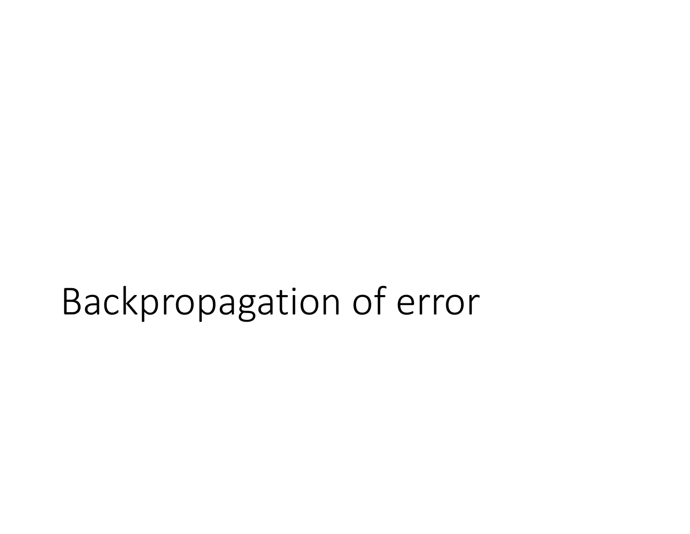# Backpropagation of error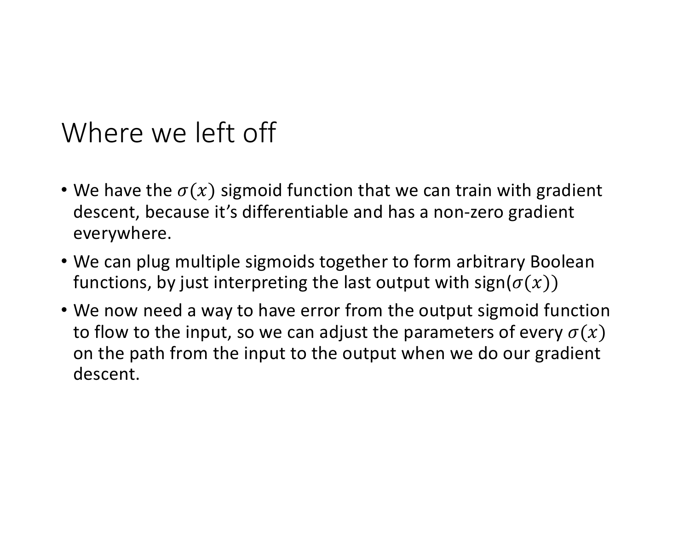# Where we left off

- We have the  $\sigma(x)$  sigmoid function that we can train with gradient descent, because it's differentiable and has a non-zero gradient everywhere.
- We can plug multiple sigmoids together to form arbitrary Boolean functions, by just interpreting the last output with sign( $\sigma(x)$ )
- We now need a way to have error from the output sigmoid function to flow to the input, so we can adjust the parameters of every  $\sigma(x)$ on the path from the input to the output when we do our gradient descent.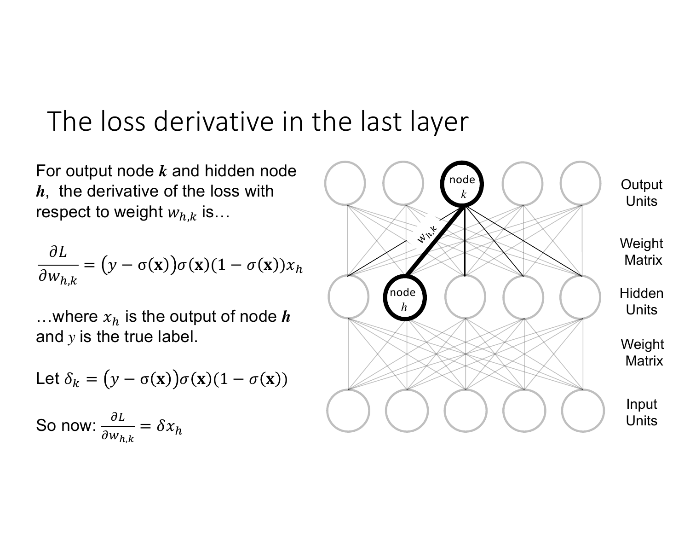## The loss derivative in the last layer

For output node *k* and hidden node *h*, the derivative of the loss with respect to weight  $w_{h,k}$  is…

$$
\frac{\partial L}{\partial w_{h,k}} = (y - \sigma(\mathbf{x}))\sigma(\mathbf{x})(1 - \sigma(\mathbf{x}))x_h
$$

...where  $x_h$  is the output of node  $h$ and *y* is the true label.

Let 
$$
\delta_k = (y - \sigma(\mathbf{x}))\sigma(\mathbf{x})(1 - \sigma(\mathbf{x}))
$$
  
So now:  $\frac{\partial L}{\partial w_{h,k}} = \delta x_h$ 

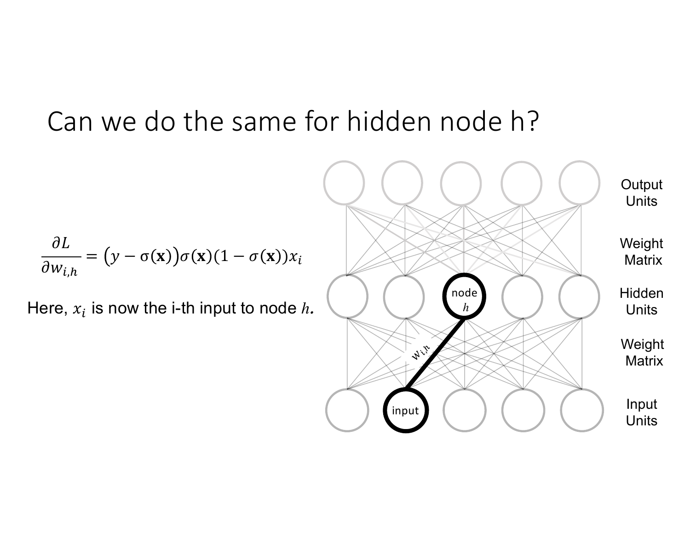# Can we do the same for hidden node h?

$$
\frac{\partial L}{\partial w_{i,h}} = (y - \sigma(\mathbf{x}))\sigma(\mathbf{x})(1 - \sigma(\mathbf{x}))x_i
$$

Here,  $x_i$  is now the *i*-th input to node  $h$ .

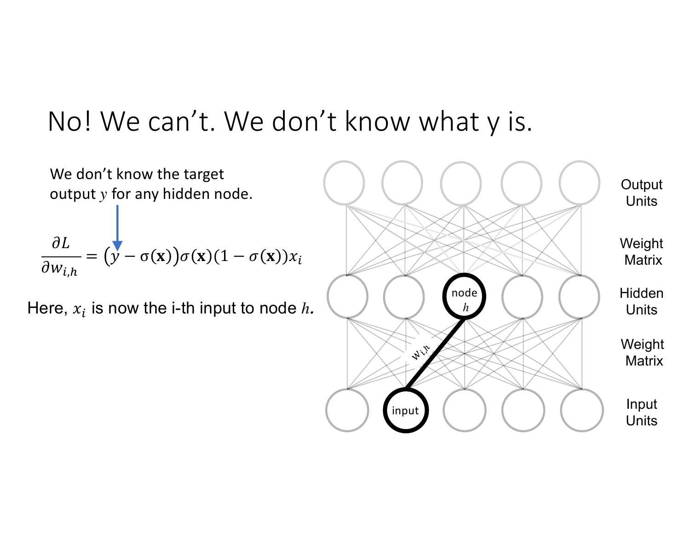# No! We can't. We don't know what y is.



input

Input **Units** Weight **Matrix Units** 

**Output Units** 

Weight **Matrix** 

**Hidden**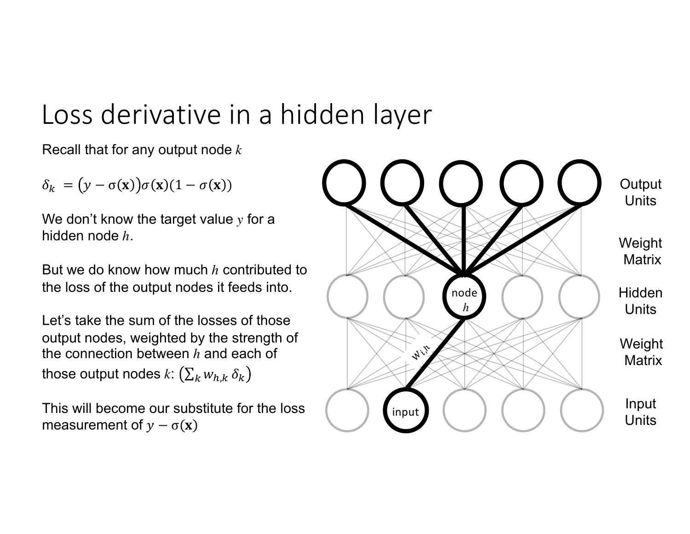# Loss derivative in a hidden layer

Recall that for any output node *k*

 $\delta_k = (y - \sigma(\mathbf{x})) \sigma(\mathbf{x}) (1 - \sigma(\mathbf{x}))$ 

We don't know the target value *y* for a hidden node *h*.

But we do know how much *h* contributed to the loss of the output nodes it feeds into.

Let's take the sum of the losses of those output nodes, weighted by the strength of the connection between *h* and each of those output nodes  $k: (\sum_k w_{h,k} \, \delta_k)$ 

This will become our substitute for the loss measurement of  $y - \sigma(x)$ 

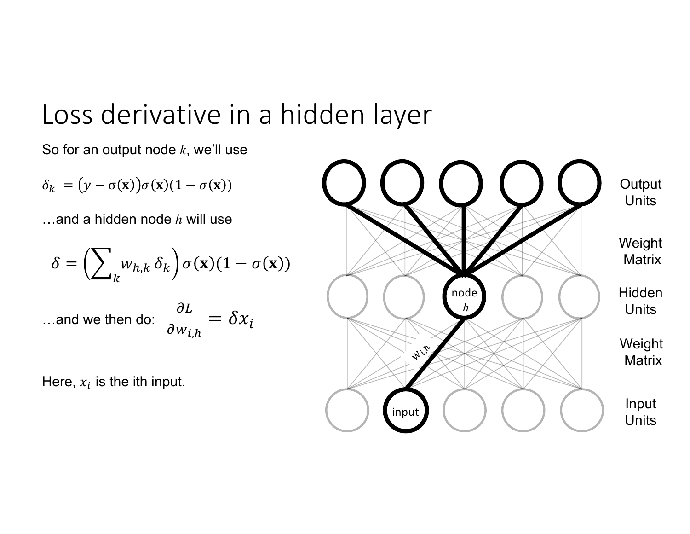# Loss derivative in a hidden layer

So for an output node *k*, we'll use

$$
\delta_k = (y - \sigma(\mathbf{x}))\sigma(\mathbf{x})(1 - \sigma(\mathbf{x}))
$$

…and a hidden node *h* will use

$$
\delta = \left(\sum_{k} w_{h,k} \,\delta_k\right) \sigma(\mathbf{x}) (1 - \sigma(\mathbf{x}))
$$

…and we then do:  $\partial L$  $\partial w_{i,h}$  $=\delta x_i$ 

Here,  $x_i$  is the ith input.

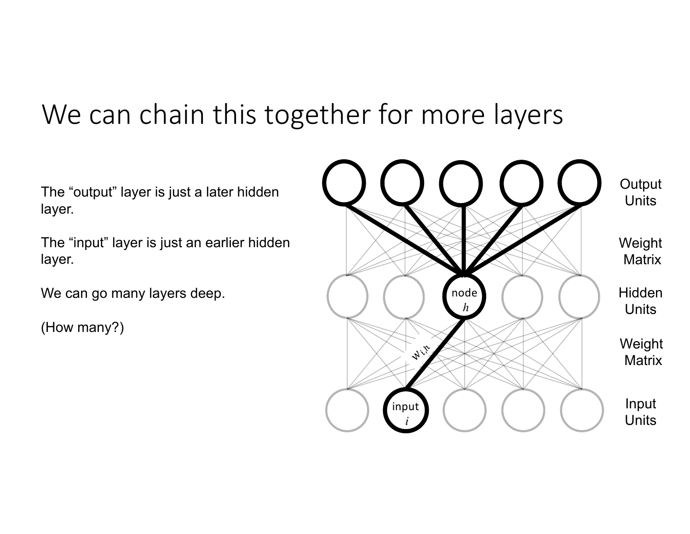# We can chain this together for more layers

The "output" layer is just a later hidden layer.

The "input" layer is just an earlier hidden layer.

We can go many layers deep.

(How many?)

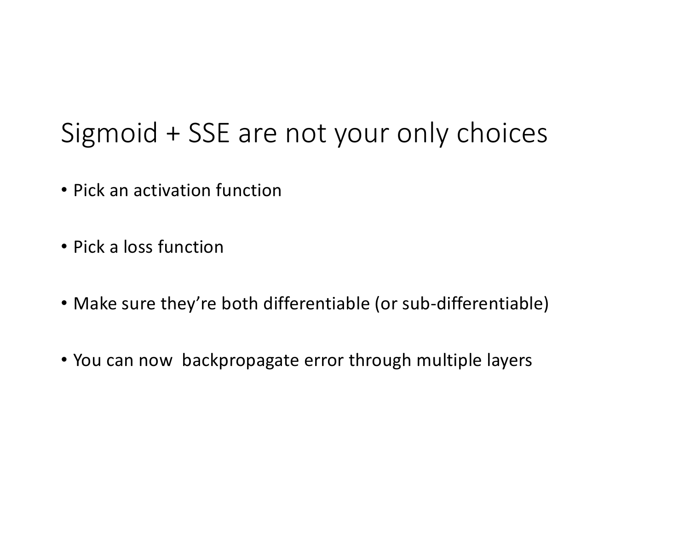# Sigmoid + SSE are not your only choices

- Pick an activation function
- Pick a loss function
- Make sure they're both differentiable (or sub-differentiable)
- You can now backpropagate error through multiple layers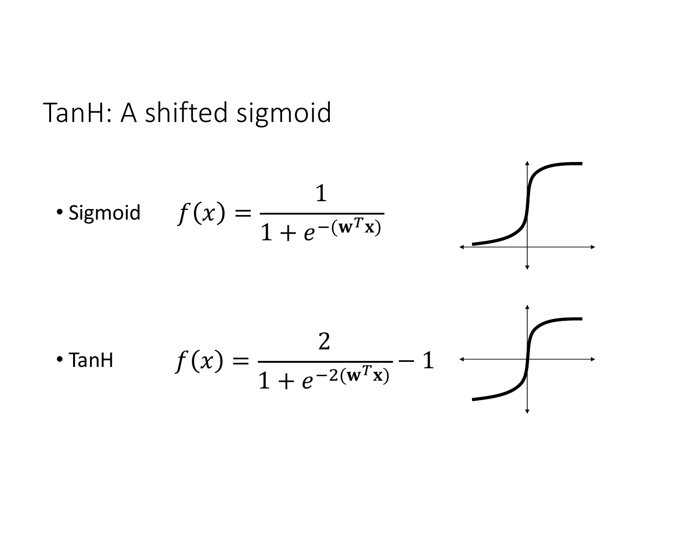# TanH: A shifted sigmoid

• Sigmoid 
$$
f(x) = \frac{1}{1 + e^{-(w^T x)}}
$$

$$
f(x) = \frac{2}{1 + e^{-2(w^T x)}} - 1
$$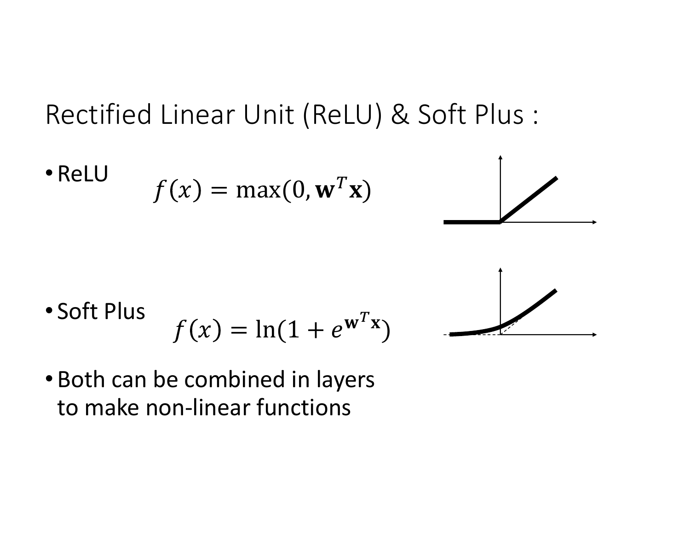# Rectified Linear Unit (ReLU) & Soft Plus :

• ReLU 
$$
f(x) = max(0, \mathbf{w}^T \mathbf{x})
$$



• Soft Plus 
$$
f(x) = \ln(1 + e^{w^T x})
$$

• Both can be combined in layers to make non-linear functions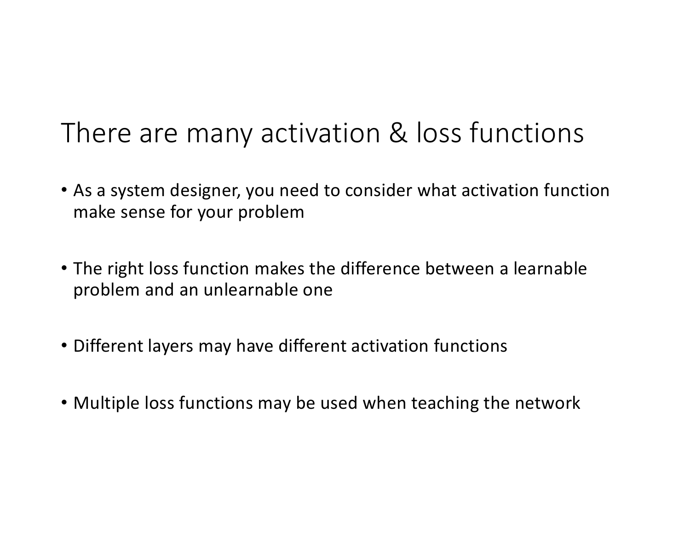# There are many activation & loss functions

- As a system designer, you need to consider what activation function make sense for your problem
- The right loss function makes the difference between a learnable problem and an unlearnable one
- Different layers may have different activation functions
- Multiple loss functions may be used when teaching the network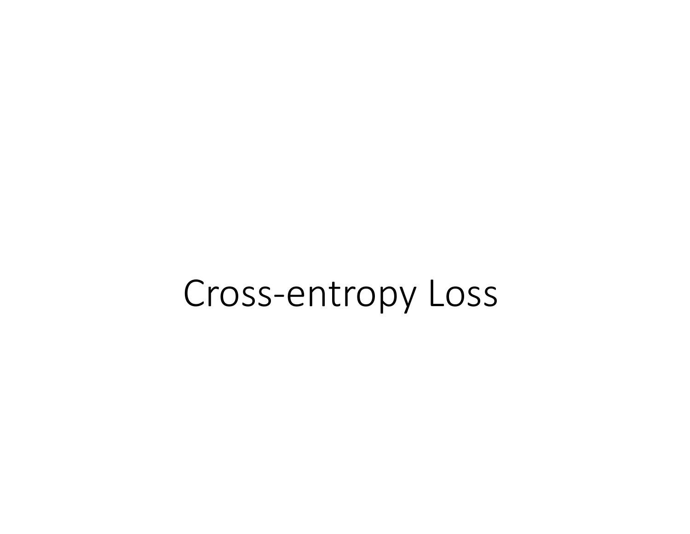# Cross-entropy Loss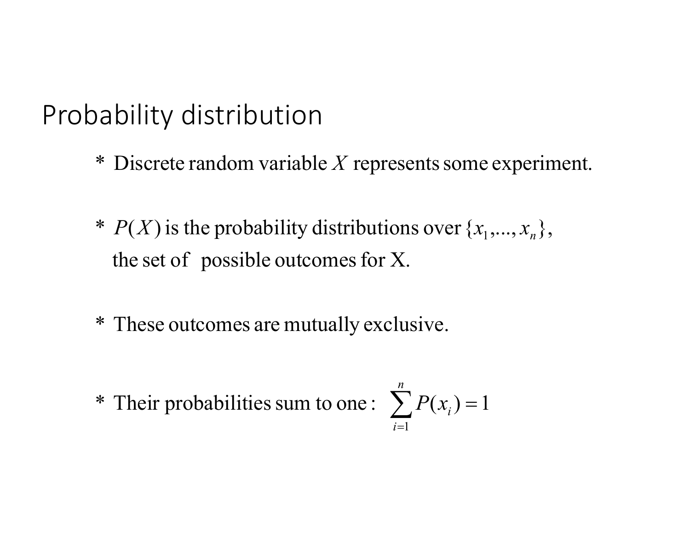# Probability distribution

- \* Discrete random variable Y represents some experiment.
- \*  $P(X)$  is the probability distributions over  $\{x_1, ..., x_n\}$ , the set of possible outcomes for  $X$ .
- \* These outcomes are mutually exclusive.
- \* Their probabilities sum to one :

$$
\sum_{i=1}^n P(x_i) = 1
$$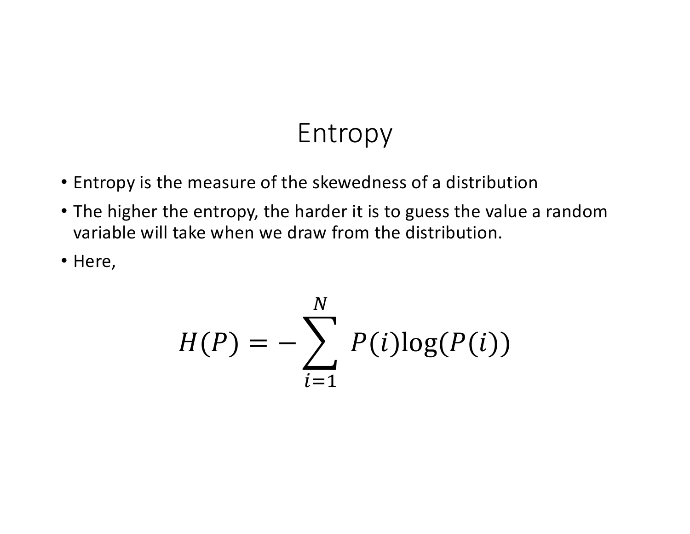# Entropy

- Entropy is the measure of the skewedness of a distribution
- The higher the entropy, the harder it is to guess the value a random variable will take when we draw from the distribution.
- Here,

$$
H(P) = -\sum_{i=1}^{N} P(i)\log(P(i))
$$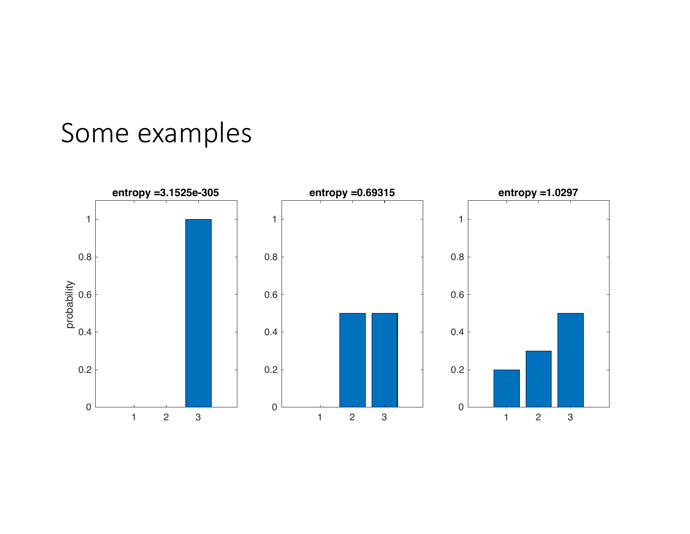# Some examples

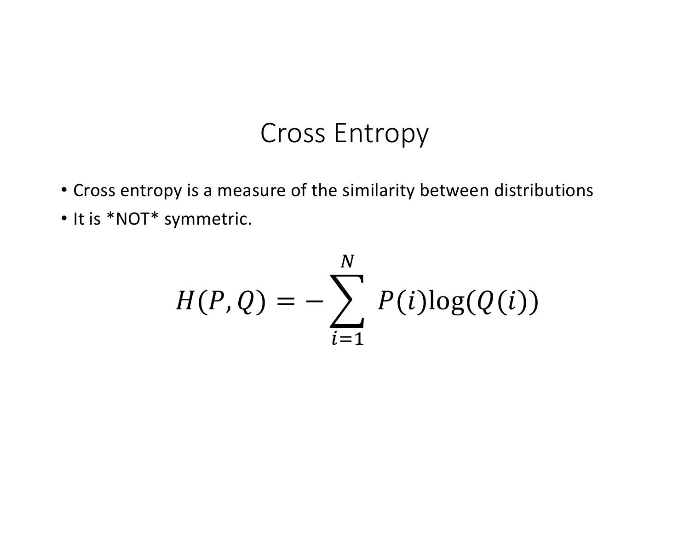### Cross Entropy

- Cross entropy is a measure of the similarity between distributions
- It is \*NOT\* symmetric.

$$
H(P,Q) = -\sum_{i=1}^{N} P(i)\log(Q(i))
$$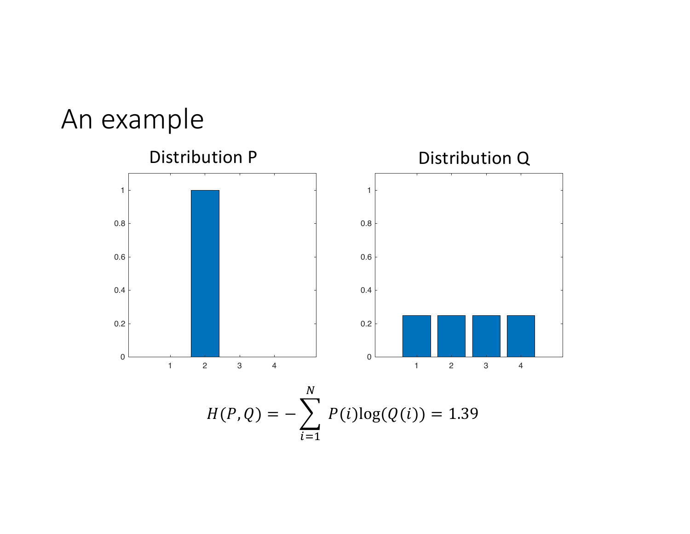## An example

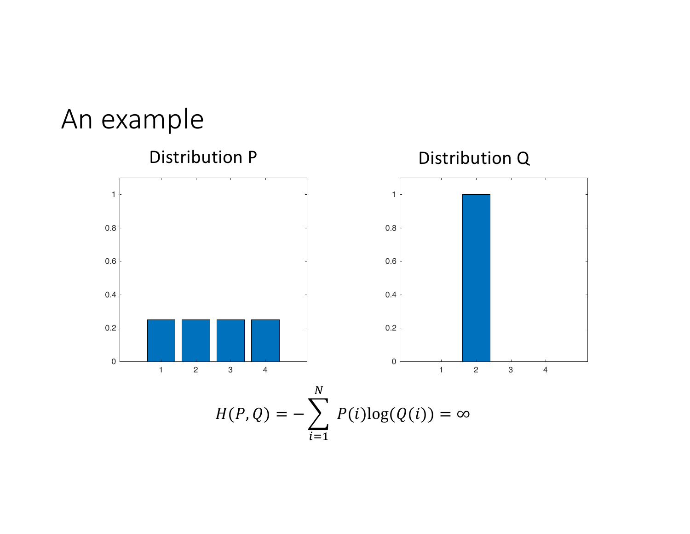## An example

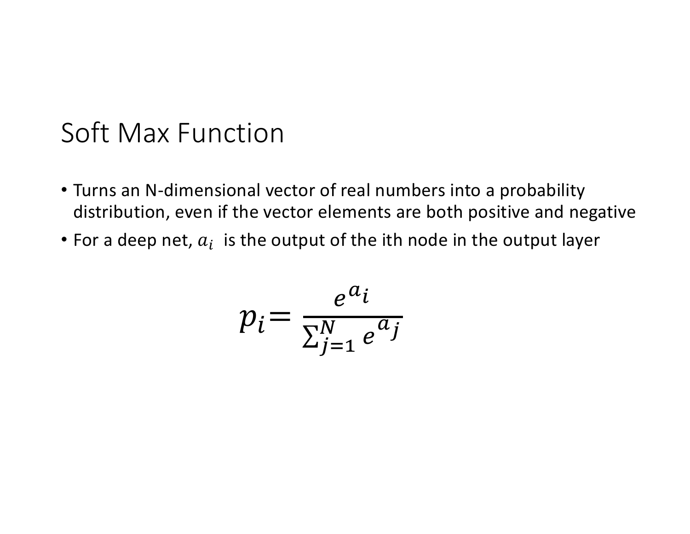### Soft Max Function

- Turns an N-dimensional vector of real numbers into a probability distribution, even if the vector elements are both positive and negative
- For a deep net,  $a_i$  is the output of the ith node in the output layer

$$
p_i = \frac{e^{a_i}}{\sum_{j=1}^N e^{a_j}}
$$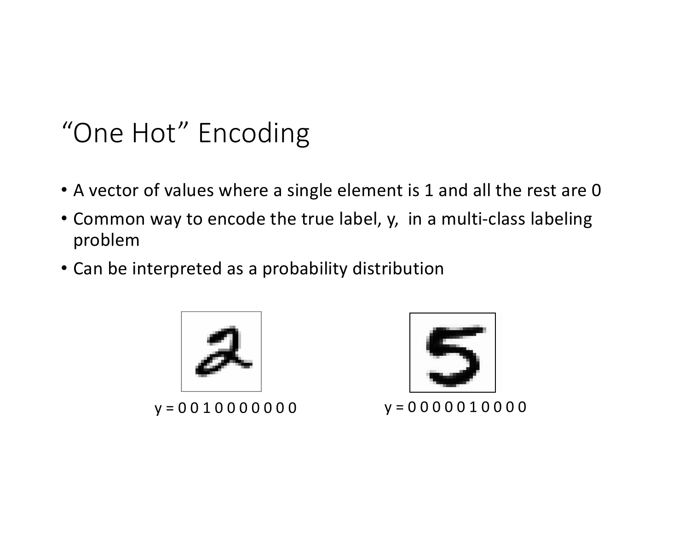# "One Hot" Encoding

- A vector of values where a single element is 1 and all the rest are 0
- Common way to encode the true label, y, in a multi-class labeling problem
- Can be interpreted as a probability distribution



 $y = 0010000000$   $y = 0000010000$ 

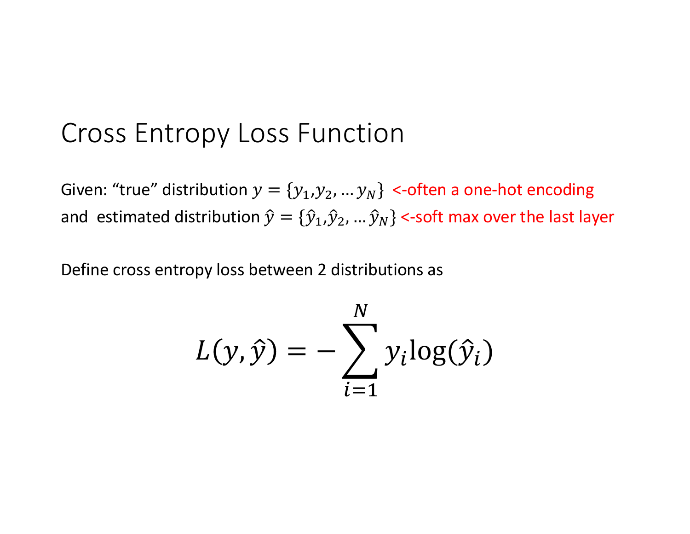#### Cross Entropy Loss Function

Given: "true" distribution  $y = \{y_1, y_2, ..., y_N\}$  <-often a one-hot encoding and estimated distribution  $\hat{y} = {\hat{y}_1, \hat{y}_2, ..., \hat{y}_N}$  <-soft max over the last layer

Define cross entropy loss between 2 distributions as

$$
L(y, \hat{y}) = -\sum_{i=1}^{N} y_i \log(\hat{y}_i)
$$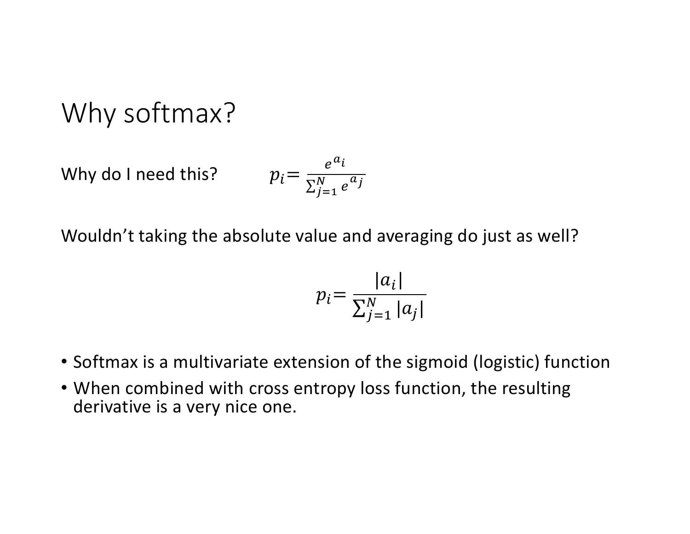Why softmax?

Why do I need this?

$$
p_i = \frac{e^{a_i}}{\sum_{j=1}^N e^{a_j}}
$$

Wouldn't taking the absolute value and averaging do just as well?

$$
p_i = \frac{|a_i|}{\sum_{j=1}^N |a_j|}
$$

- Softmax is a multivariate extension of the sigmoid (logistic) function
- When combined with cross entropy loss function, the resulting derivative is a very nice one.